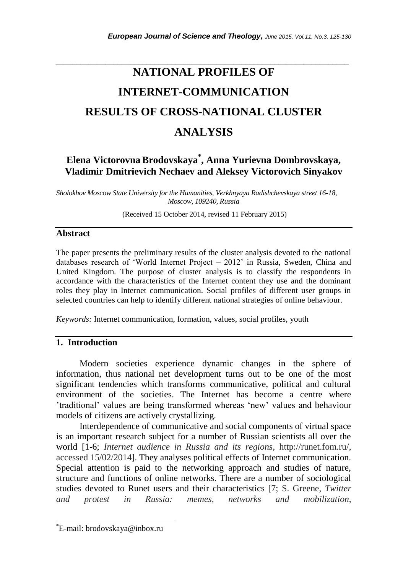# *\_\_\_\_\_\_\_\_\_\_\_\_\_\_\_\_\_\_\_\_\_\_\_\_\_\_\_\_\_\_\_\_\_\_\_\_\_\_\_\_\_\_\_\_\_\_\_\_\_\_\_\_\_\_\_\_\_\_\_\_\_\_\_\_\_\_\_\_\_\_\_* **NATIONAL PROFILES OF INTERNET-COMMUNICATION RESULTS OF CROSS-NATIONAL CLUSTER ANALYSIS**

# **Elena Victorovna Brodovskaya\* , Anna Yurievna Dombrovskaya, Vladimir Dmitrievich Nechaev and Aleksey Victorovich Sinyakov**

*Sholokhov Moscow State University for the Humanities, Verkhnyaya Radishchevskaya street 16-18, Moscow, 109240, Russia*

(Received 15 October 2014, revised 11 February 2015)

### **Abstract**

The paper presents the preliminary results of the cluster analysis devoted to the national databases research of "World Internet Project – 2012" in Russia, Sweden, China and United Kingdom. The purpose of cluster analysis is to classify the respondents in accordance with the characteristics of the Internet content they use and the dominant roles they play in Internet communication. Social profiles of different user groups in selected countries can help to identify different national strategies of online behaviour.

*Keywords:* Internet communication, formation, values, social profiles, youth

### **1. Introduction**

Modern societies experience dynamic changes in the sphere of information, thus national net development turns out to be one of the most significant tendencies which transforms communicative, political and cultural environment of the societies. The Internet has become a centre where "traditional" values are being transformed whereas "new" values and behaviour models of citizens are actively crystallizing.

Interdependence of communicative and social components of virtual space is an important research subject for a number of Russian scientists all over the world [1-6; *Internet audience in Russia and its regions*, http://runet.fom.ru/, accessed 15/02/2014]. They analyses political effects of Internet communication. Special attention is paid to the networking approach and studies of nature, structure and functions of online networks. There are a number of sociological studies devoted to Runet users and their characteristics [7; S. Greene, *Twitter and protest in Russia: memes, networks and mobilization*,

l

<sup>\*</sup>E-mail: brodovskaya@inbox.ru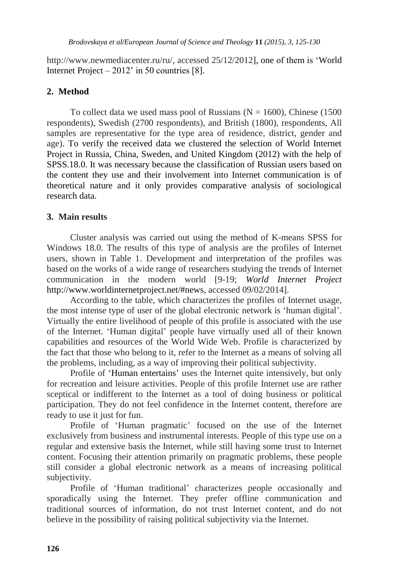http://www.newmediacenter.ru/ru/, accessed 25/12/2012], one of them is "World Internet Project –  $2012'$  in 50 countries [8].

## **2. Method**

To collect data we used mass pool of Russians ( $N = 1600$ ), Chinese (1500) respondents), Swedish (2700 respondents), and British (1800), respondents, All samples are representative for the type area of residence, district, gender and age). To verify the received data we clustered the selection of World Internet Project in Russia, China, Sweden, and United Kingdom (2012) with the help of SPSS.18.0. It was necessary because the classification of Russian users based on the content they use and their involvement into Internet communication is of theoretical nature and it only provides comparative analysis of sociological research data.

### **3. Main results**

Cluster analysis was carried out using the method of K-means SPSS for Windows 18.0. The results of this type of analysis are the profiles of Internet users, shown in Table 1. Development and interpretation of the profiles was based on the works of a wide range of researchers studying the trends of Internet communication in the modern world [9-19; *World Internet Project* http://www.worldinternetproject.net/#news, accessed 09/02/2014].

According to the table, which characterizes the profiles of Internet usage, the most intense type of user of the global electronic network is "human digital". Virtually the entire livelihood of people of this profile is associated with the use of the Internet. "Human digital" people have virtually used all of their known capabilities and resources of the World Wide Web. Profile is characterized by the fact that those who belong to it, refer to the Internet as a means of solving all the problems, including, as a way of improving their political subjectivity.

Profile of 'Human entertains' uses the Internet quite intensively, but only for recreation and leisure activities. People of this profile Internet use are rather sceptical or indifferent to the Internet as a tool of doing business or political participation. They do not feel confidence in the Internet content, therefore are ready to use it just for fun.

Profile of "Human pragmatic" focused on the use of the Internet exclusively from business and instrumental interests. People of this type use on a regular and extensive basis the Internet, while still having some trust to Internet content. Focusing their attention primarily on pragmatic problems, these people still consider a global electronic network as a means of increasing political subjectivity.

Profile of "Human traditional" characterizes people occasionally and sporadically using the Internet. They prefer offline communication and traditional sources of information, do not trust Internet content, and do not believe in the possibility of raising political subjectivity via the Internet.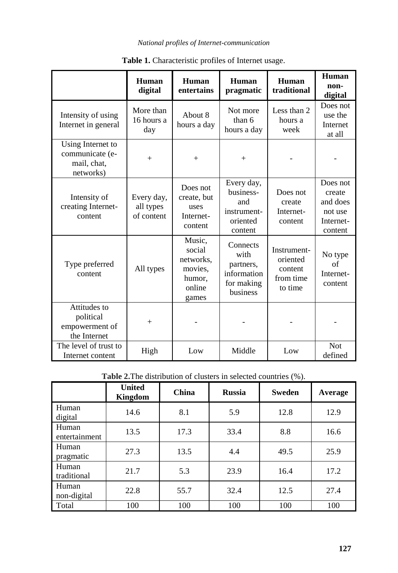#### *National profiles of Internet-communication*

|                                                                  | Human<br>digital                      | Human<br>entertains                                                   | <b>Human</b><br>pragmatic                                              | Human<br>traditional                                       | Human<br>non-<br>digital                                          |
|------------------------------------------------------------------|---------------------------------------|-----------------------------------------------------------------------|------------------------------------------------------------------------|------------------------------------------------------------|-------------------------------------------------------------------|
| Intensity of using<br>Internet in general                        | More than<br>16 hours a<br>day        | About 8<br>hours a day                                                | Not more<br>than 6<br>hours a day                                      | Less than 2<br>hours a<br>week                             | Does not<br>use the<br>Internet<br>at all                         |
| Using Internet to<br>communicate (e-<br>mail, chat,<br>networks) | $^{+}$                                | $+$                                                                   | $^{+}$                                                                 |                                                            |                                                                   |
| Intensity of<br>creating Internet-<br>content                    | Every day,<br>all types<br>of content | Does not<br>create, but<br>uses<br>Internet-<br>content               | Every day,<br>business-<br>and<br>instrument-<br>oriented<br>content   | Does not<br>create<br>Internet-<br>content                 | Does not<br>create<br>and does<br>not use<br>Internet-<br>content |
| Type preferred<br>content                                        | All types                             | Music,<br>social<br>networks.<br>movies.<br>humor.<br>online<br>games | Connects<br>with<br>partners,<br>information<br>for making<br>business | Instrument-<br>oriented<br>content<br>from time<br>to time | No type<br>of<br>Internet-<br>content                             |
| Attitudes to<br>political<br>empowerment of<br>the Internet      | $^{+}$                                |                                                                       |                                                                        |                                                            |                                                                   |
| The level of trust to<br>Internet content                        | High                                  | Low                                                                   | Middle                                                                 | Low                                                        | <b>Not</b><br>defined                                             |

**Table 1.** Characteristic profiles of Internet usage.

**Table 2.**The distribution of clusters in selected countries (%).

|                        | <b>United</b><br>Kingdom | China | <b>Russia</b> | <b>Sweden</b> | Average |
|------------------------|--------------------------|-------|---------------|---------------|---------|
| Human<br>digital       | 14.6                     | 8.1   | 5.9           | 12.8          | 12.9    |
| Human<br>entertainment | 13.5                     | 17.3  | 33.4          | 8.8           | 16.6    |
| Human<br>pragmatic     | 27.3                     | 13.5  | 4.4           | 49.5          | 25.9    |
| Human<br>traditional   | 21.7                     | 5.3   | 23.9          | 16.4          | 17.2    |
| Human<br>non-digital   | 22.8                     | 55.7  | 32.4          | 12.5          | 27.4    |
| Total                  | 100                      | 100   | 100           | 100           | 100     |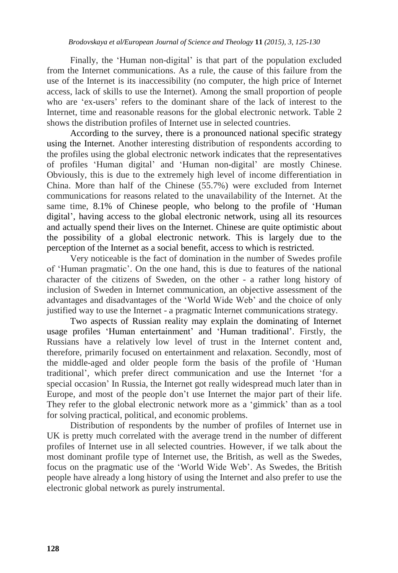Finally, the 'Human non-digital' is that part of the population excluded from the Internet communications. As a rule, the cause of this failure from the use of the Internet is its inaccessibility (no computer, the high price of Internet access, lack of skills to use the Internet). Among the small proportion of people who are "ex-users" refers to the dominant share of the lack of interest to the Internet, time and reasonable reasons for the global electronic network. Table 2 shows the distribution profiles of Internet use in selected countries.

According to the survey, there is a pronounced national specific strategy using the Internet. Another interesting distribution of respondents according to the profiles using the global electronic network indicates that the representatives of profiles "Human digital" and "Human non-digital" are mostly Chinese. Obviously, this is due to the extremely high level of income differentiation in China. More than half of the Chinese (55.7%) were excluded from Internet communications for reasons related to the unavailability of the Internet. At the same time, 8.1% of Chinese people, who belong to the profile of "Human digital", having access to the global electronic network, using all its resources and actually spend their lives on the Internet. Chinese are quite optimistic about the possibility of a global electronic network. This is largely due to the perception of the Internet as a social benefit, access to which is restricted.

Very noticeable is the fact of domination in the number of Swedes profile of "Human pragmatic". On the one hand, this is due to features of the national character of the citizens of Sweden, on the other - a rather long history of inclusion of Sweden in Internet communication, an objective assessment of the advantages and disadvantages of the "World Wide Web" and the choice of only justified way to use the Internet - a pragmatic Internet communications strategy.

Two aspects of Russian reality may explain the dominating of Internet usage profiles 'Human entertainment' and 'Human traditional'. Firstly, the Russians have a relatively low level of trust in the Internet content and, therefore, primarily focused on entertainment and relaxation. Secondly, most of the middle-aged and older people form the basis of the profile of "Human traditional", which prefer direct communication and use the Internet "for a special occasion" In Russia, the Internet got really widespread much later than in Europe, and most of the people don"t use Internet the major part of their life. They refer to the global electronic network more as a "gimmick" than as a tool for solving practical, political, and economic problems.

Distribution of respondents by the number of profiles of Internet use in UK is pretty much correlated with the average trend in the number of different profiles of Internet use in all selected countries. However, if we talk about the most dominant profile type of Internet use, the British, as well as the Swedes, focus on the pragmatic use of the "World Wide Web". As Swedes, the British people have already a long history of using the Internet and also prefer to use the electronic global network as purely instrumental.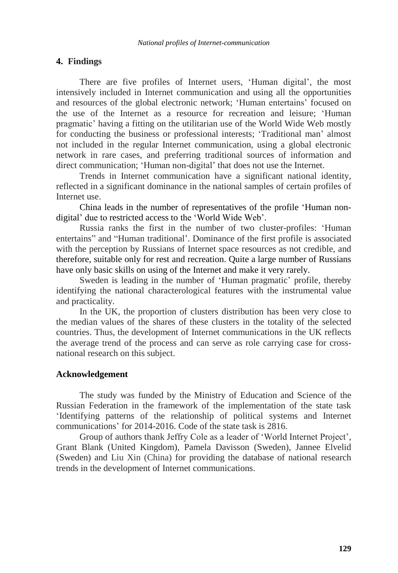#### **4. Findings**

There are five profiles of Internet users, 'Human digital', the most intensively included in Internet communication and using all the opportunities and resources of the global electronic network; "Human entertains" focused on the use of the Internet as a resource for recreation and leisure; "Human pragmatic" having a fitting on the utilitarian use of the World Wide Web mostly for conducting the business or professional interests; "Traditional man" almost not included in the regular Internet communication, using a global electronic network in rare cases, and preferring traditional sources of information and direct communication; "Human non-digital" that does not use the Internet.

Trends in Internet communication have a significant national identity, reflected in a significant dominance in the national samples of certain profiles of Internet use.

China leads in the number of representatives of the profile "Human nondigital' due to restricted access to the 'World Wide Web'.

Russia ranks the first in the number of two cluster-profiles: "Human entertains" and "Human traditional". Dominance of the first profile is associated with the perception by Russians of Internet space resources as not credible, and therefore, suitable only for rest and recreation. Quite a large number of Russians have only basic skills on using of the Internet and make it very rarely.

Sweden is leading in the number of 'Human pragmatic' profile, thereby identifying the national characterological features with the instrumental value and practicality.

In the UK, the proportion of clusters distribution has been very close to the median values of the shares of these clusters in the totality of the selected countries. Thus, the development of Internet communications in the UK reflects the average trend of the process and can serve as role carrying case for crossnational research on this subject.

#### **Acknowledgement**

The study was funded by the Ministry of Education and Science of the Russian Federation in the framework of the implementation of the state task "Identifying patterns of the relationship of political systems and Internet communications" for 2014-2016. Code of the state task is 2816.

Group of authors thank Jeffry Cole as a leader of "World Internet Project", Grant Blank (United Kingdom), Pamela Davisson (Sweden), Jannee Elvelid (Sweden) and Liu Xin (China) for providing the database of national research trends in the development of Internet communications.